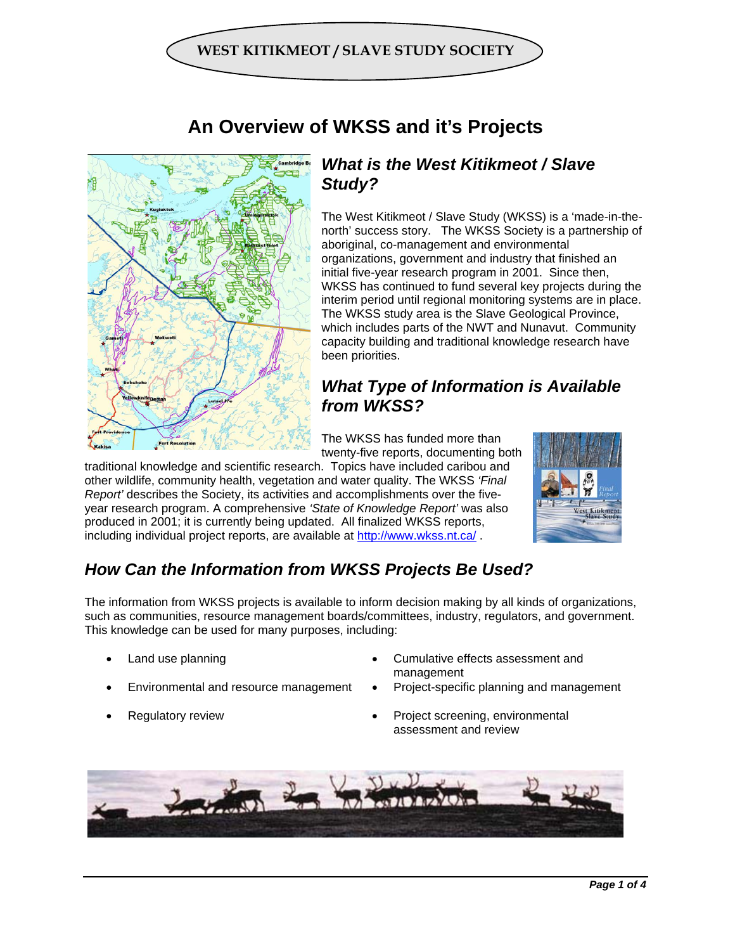



## **An Overview of WKSS and it's Projects**

### *What is the West Kitikmeot / Slave Study?*

The West Kitikmeot / Slave Study (WKSS) is a 'made-in-thenorth' success story. The WKSS Society is a partnership of aboriginal, co-management and environmental organizations, government and industry that finished an initial five-year research program in 2001. Since then, WKSS has continued to fund several key projects during the interim period until regional monitoring systems are in place. The WKSS study area is the Slave Geological Province, which includes parts of the NWT and Nunavut. Community capacity building and traditional knowledge research have been priorities.

## *What Type of Information is Available from WKSS?*

The WKSS has funded more than twenty-five reports, documenting both

traditional knowledge and scientific research. Topics have included caribou and other wildlife, community health, vegetation and water quality. The WKSS *'Final Report'* describes the Society, its activities and accomplishments over the fiveyear research program. A comprehensive *'State of Knowledge Report'* was also produced in 2001; it is currently being updated. All finalized WKSS reports, including individual project reports, are available at http://www.wkss.nt.ca/ .



## *How Can the Information from WKSS Projects Be Used?*

The information from WKSS projects is available to inform decision making by all kinds of organizations, such as communities, resource management boards/committees, industry, regulators, and government. This knowledge can be used for many purposes, including:

- 
- 
- 
- Land use planning example and the Cumulative effects assessment and management
- Environmental and resource management Project-specific planning and management
- **Regulatory review Project screening, environmental** assessment and review

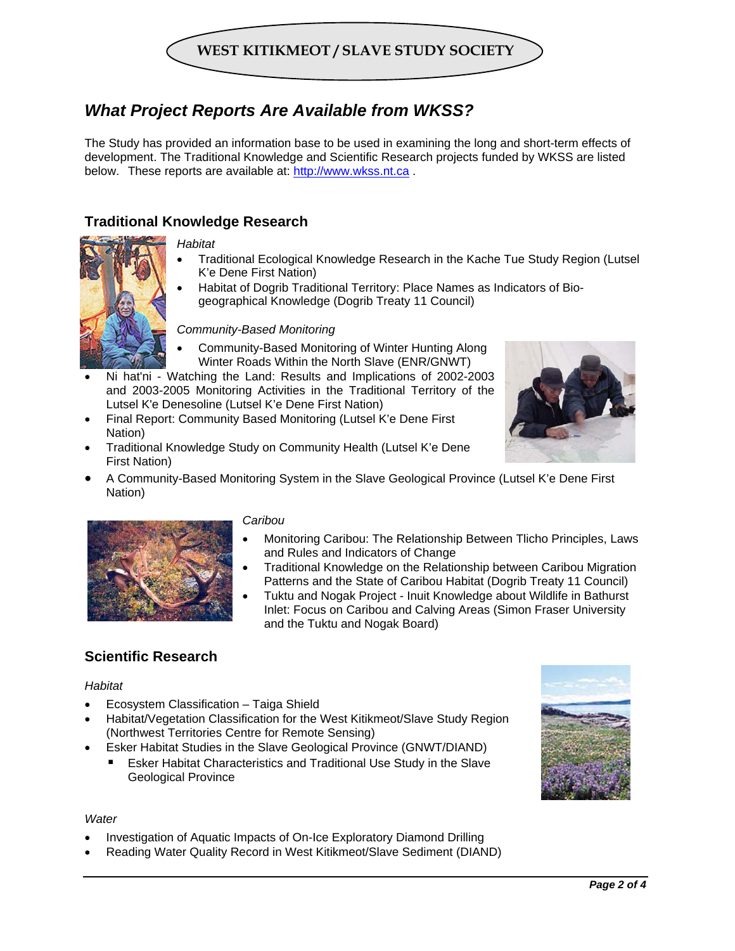## **WEST KITIKMEOT / SLAVE STUDY SOCIETY**

## *What Project Reports Are Available from WKSS?*

The Study has provided an information base to be used in examining the long and short-term effects of development. The Traditional Knowledge and Scientific Research projects funded by WKSS are listed below. These reports are available at: http://www.wkss.nt.ca .

### **Traditional Knowledge Research**

#### *Habitat*

- Traditional Ecological Knowledge Research in the Kache Tue Study Region (Lutsel K'e Dene First Nation)
- Habitat of Dogrib Traditional Territory: Place Names as Indicators of Biogeographical Knowledge (Dogrib Treaty 11 Council)

#### *Community-Based Monitoring*

- Community-Based Monitoring of Winter Hunting Along Winter Roads Within the North Slave (ENR/GNWT)
- Ni hat'ni Watching the Land: Results and Implications of 2002-2003 and 2003-2005 Monitoring Activities in the Traditional Territory of the Lutsel K'e Denesoline (Lutsel K'e Dene First Nation)
- Final Report: Community Based Monitoring (Lutsel K'e Dene First Nation)
- Traditional Knowledge Study on Community Health (Lutsel K'e Dene First Nation)



• A Community-Based Monitoring System in the Slave Geological Province (Lutsel K'e Dene First Nation)



#### *Caribou*

- Monitoring Caribou: The Relationship Between Tlicho Principles, Laws and Rules and Indicators of Change
- Traditional Knowledge on the Relationship between Caribou Migration Patterns and the State of Caribou Habitat (Dogrib Treaty 11 Council)
- Tuktu and Nogak Project Inuit Knowledge about Wildlife in Bathurst Inlet: Focus on Caribou and Calving Areas (Simon Fraser University and the Tuktu and Nogak Board)

### **Scientific Research**

#### *Habitat*

- Ecosystem Classification Taiga Shield
- Habitat/Vegetation Classification for the West Kitikmeot/Slave Study Region (Northwest Territories Centre for Remote Sensing)
- Esker Habitat Studies in the Slave Geological Province (GNWT/DIAND)
	- Esker Habitat Characteristics and Traditional Use Study in the Slave Geological Province



#### *Water*

- Investigation of Aquatic Impacts of On-Ice Exploratory Diamond Drilling
- Reading Water Quality Record in West Kitikmeot/Slave Sediment (DIAND)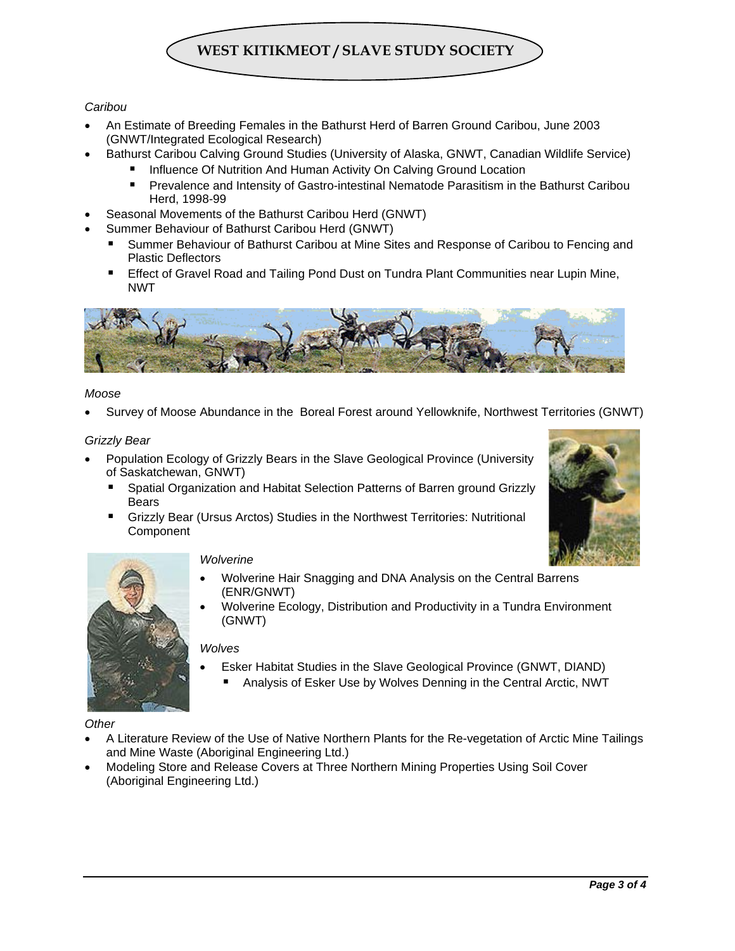# **WEST KITIKMEOT / SLAVE STUDY SOCIETY**

#### *Caribou*

- An Estimate of Breeding Females in the Bathurst Herd of Barren Ground Caribou, June 2003 (GNWT/Integrated Ecological Research)
	- Bathurst Caribou Calving Ground Studies (University of Alaska, GNWT, Canadian Wildlife Service)
		- Influence Of Nutrition And Human Activity On Calving Ground Location
			- **Prevalence and Intensity of Gastro-intestinal Nematode Parasitism in the Bathurst Caribou** Herd, 1998-99
- Seasonal Movements of the Bathurst Caribou Herd (GNWT)
- Summer Behaviour of Bathurst Caribou Herd (GNWT)
	- Summer Behaviour of Bathurst Caribou at Mine Sites and Response of Caribou to Fencing and Plastic Deflectors
	- Effect of Gravel Road and Tailing Pond Dust on Tundra Plant Communities near Lupin Mine, NWT



#### *Moose*

• Survey of Moose Abundance in the Boreal Forest around Yellowknife, Northwest Territories (GNWT)

#### *Grizzly Bear*

- Population Ecology of Grizzly Bears in the Slave Geological Province (University of Saskatchewan, GNWT)
	- **Spatial Organization and Habitat Selection Patterns of Barren ground Grizzly Bears**
	- Grizzly Bear (Ursus Arctos) Studies in the Northwest Territories: Nutritional Component





#### *Wolverine*

- Wolverine Hair Snagging and DNA Analysis on the Central Barrens (ENR/GNWT)
- Wolverine Ecology, Distribution and Productivity in a Tundra Environment (GNWT)

#### *Wolves*

- Esker Habitat Studies in the Slave Geological Province (GNWT, DIAND)
	- Analysis of Esker Use by Wolves Denning in the Central Arctic, NWT

#### *Other*

- A Literature Review of the Use of Native Northern Plants for the Re-vegetation of Arctic Mine Tailings and Mine Waste (Aboriginal Engineering Ltd.)
- Modeling Store and Release Covers at Three Northern Mining Properties Using Soil Cover (Aboriginal Engineering Ltd.)